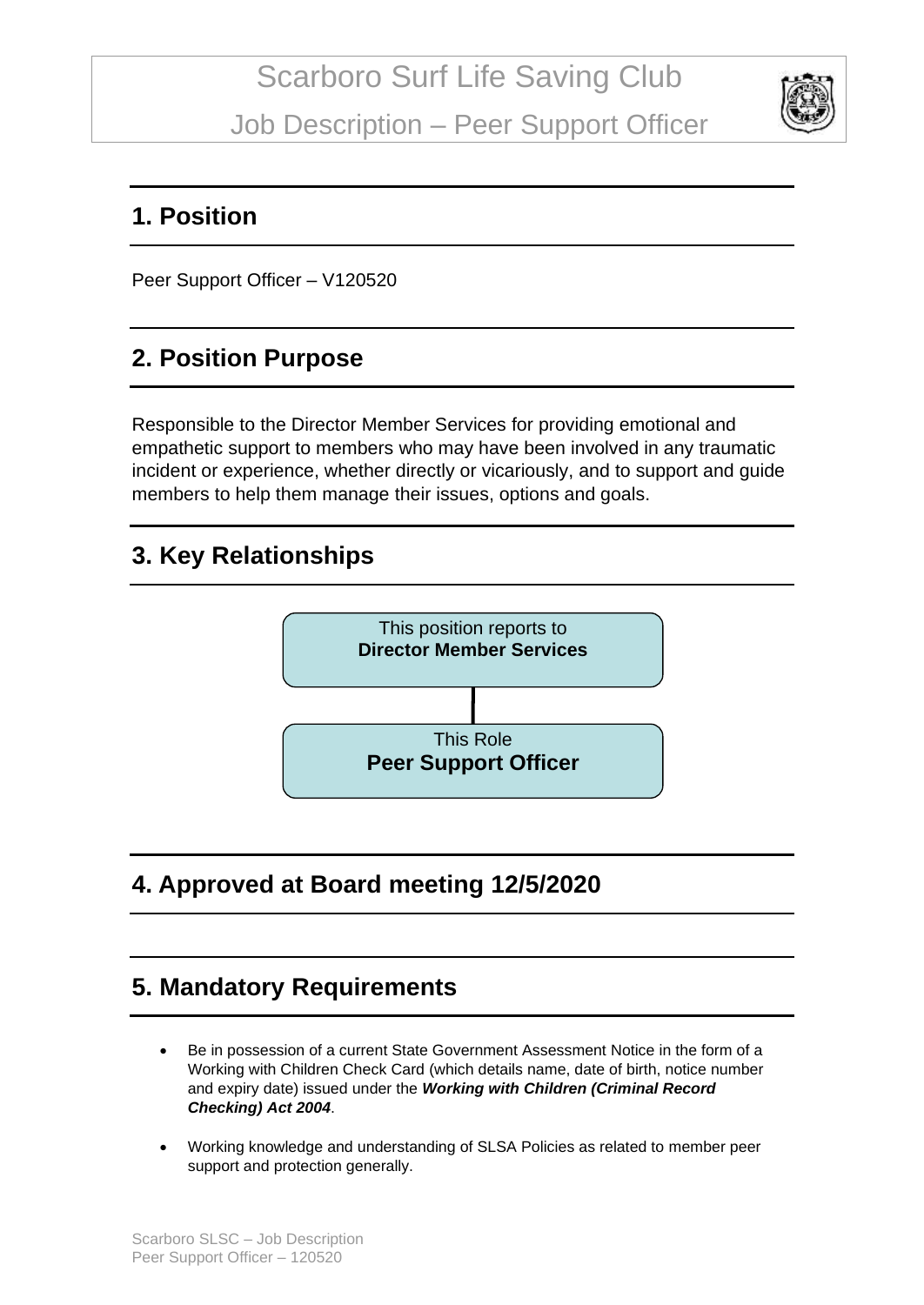

#### **1. Position**

Peer Support Officer – V120520

## **2. Position Purpose**

Responsible to the Director Member Services for providing emotional and empathetic support to members who may have been involved in any traumatic incident or experience, whether directly or vicariously, and to support and guide members to help them manage their issues, options and goals.

## **3. Key Relationships**



# **4. Approved at Board meeting 12/5/2020**

## **5. Mandatory Requirements**

- Be in possession of a current State Government Assessment Notice in the form of a Working with Children Check Card (which details name, date of birth, notice number and expiry date) issued under the *Working with Children (Criminal Record Checking) Act 2004*.
- Working knowledge and understanding of SLSA Policies as related to member peer support and protection generally.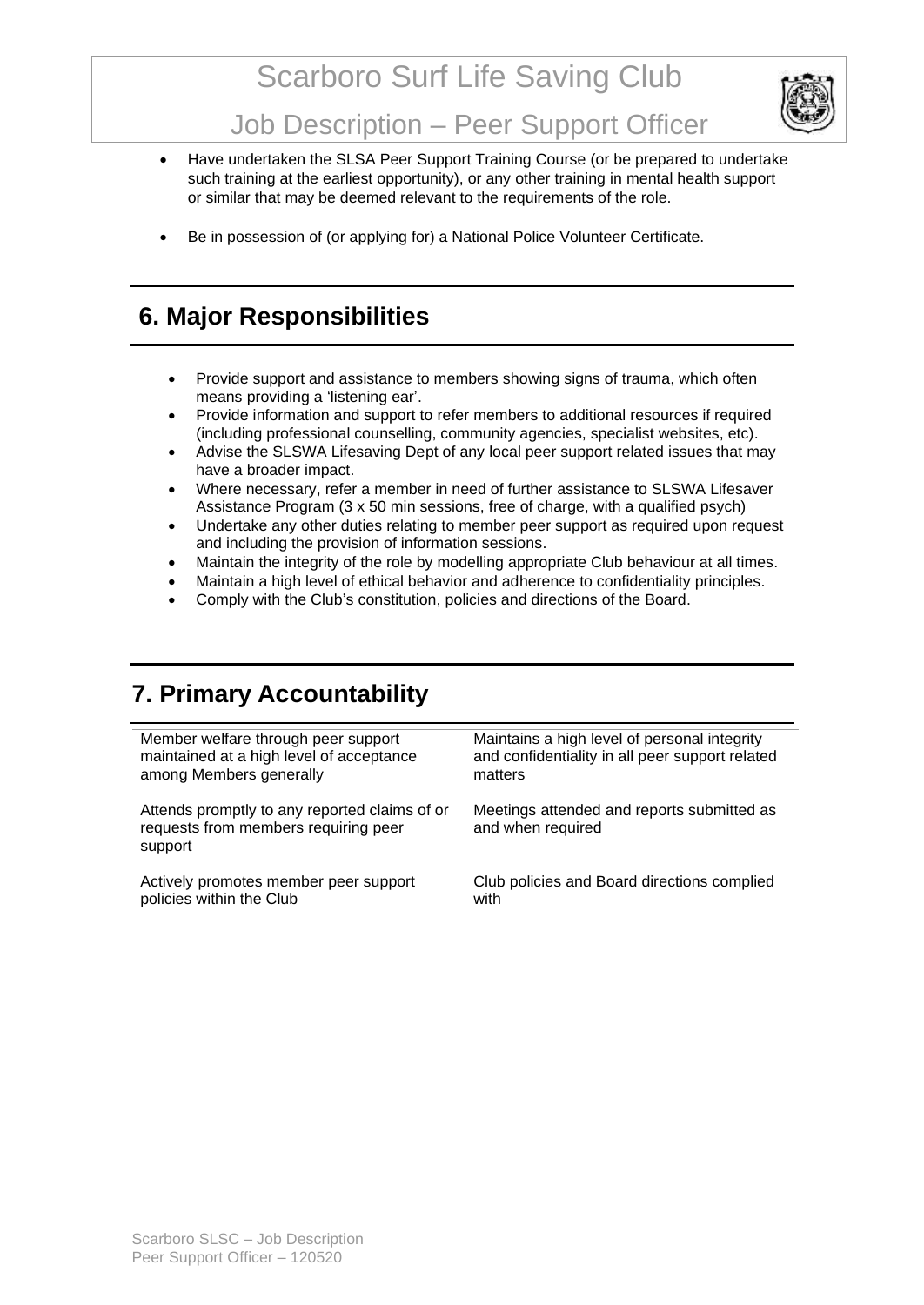# Scarboro Surf Life Saving Club



Job Description – Peer Support Officer

- Have undertaken the SLSA Peer Support Training Course (or be prepared to undertake such training at the earliest opportunity), or any other training in mental health support or similar that may be deemed relevant to the requirements of the role.
- Be in possession of (or applying for) a National Police Volunteer Certificate.

#### **6. Major Responsibilities**

- Provide support and assistance to members showing signs of trauma, which often means providing a 'listening ear'.
- Provide information and support to refer members to additional resources if required (including professional counselling, community agencies, specialist websites, etc).
- Advise the SLSWA Lifesaving Dept of any local peer support related issues that may have a broader impact.
- Where necessary, refer a member in need of further assistance to SLSWA Lifesaver Assistance Program (3 x 50 min sessions, free of charge, with a qualified psych)
- Undertake any other duties relating to member peer support as required upon request and including the provision of information sessions.
- Maintain the integrity of the role by modelling appropriate Club behaviour at all times.
- Maintain a high level of ethical behavior and adherence to confidentiality principles.
- Comply with the Club's constitution, policies and directions of the Board.

## **7. Primary Accountability**

Member welfare through peer support maintained at a high level of acceptance among Members generally

Attends promptly to any reported claims of or requests from members requiring peer support

Actively promotes member peer support policies within the Club

Maintains a high level of personal integrity and confidentiality in all peer support related matters

Meetings attended and reports submitted as and when required

Club policies and Board directions complied with